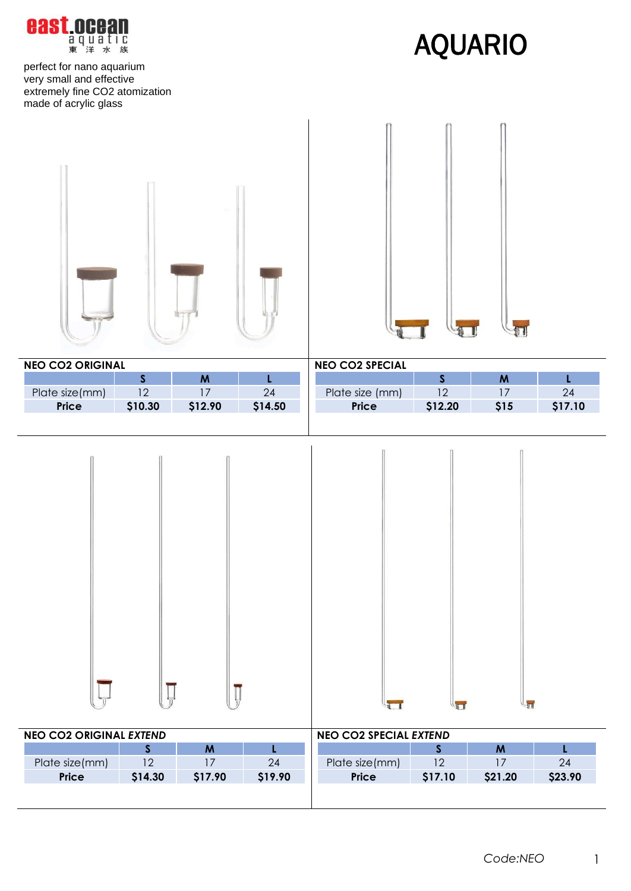$\sqrt{1}$ 

perfect for nano aquarium very small and effective extremely fine CO2 atomization made of acrylic glass

**Locean aquatic**<br>東洋水族

east

| <b>NEO CO2 ORIGINAL</b> |              |                    |             | <b>NEO CO2 SPECIAL</b> |              |                  |         |
|-------------------------|--------------|--------------------|-------------|------------------------|--------------|------------------|---------|
|                         | $\mathsf{S}$ | $\pmb{\mathsf{M}}$ | $\mathsf L$ |                        | $\mathsf{S}$ | $\boldsymbol{M}$ | L       |
| Plate size(mm)          | 12           | $17\,$             | 24          | Plate size (mm)        | 12           | 17               | $24\,$  |
| Price                   | \$10.30      | \$12.90            | \$14.50     | Price                  | \$12.20      | \$15             | \$17.10 |
|                         |              |                    |             |                        |              |                  |         |

| <b>NEO CO2 ORIGINAL EXTEND</b> |                |         |         | <b>NEO CO2 SPECIAL EXTEND</b> |         |         |         |
|--------------------------------|----------------|---------|---------|-------------------------------|---------|---------|---------|
|                                |                | M       |         |                               |         | M       |         |
| Plate size(mm)                 | 1 <sub>2</sub> |         | 24      | Plate size(mm)                | 12      |         | 24      |
| <b>Price</b>                   | \$14.30        | \$17.90 | \$19.90 | <b>Price</b>                  | \$17.10 | \$21.20 | \$23.90 |
|                                |                |         |         |                               |         |         |         |

 $\sqrt{1}$ 

LE



 $\overline{\mathbf{I}}_{\overline{n}}$ 

I

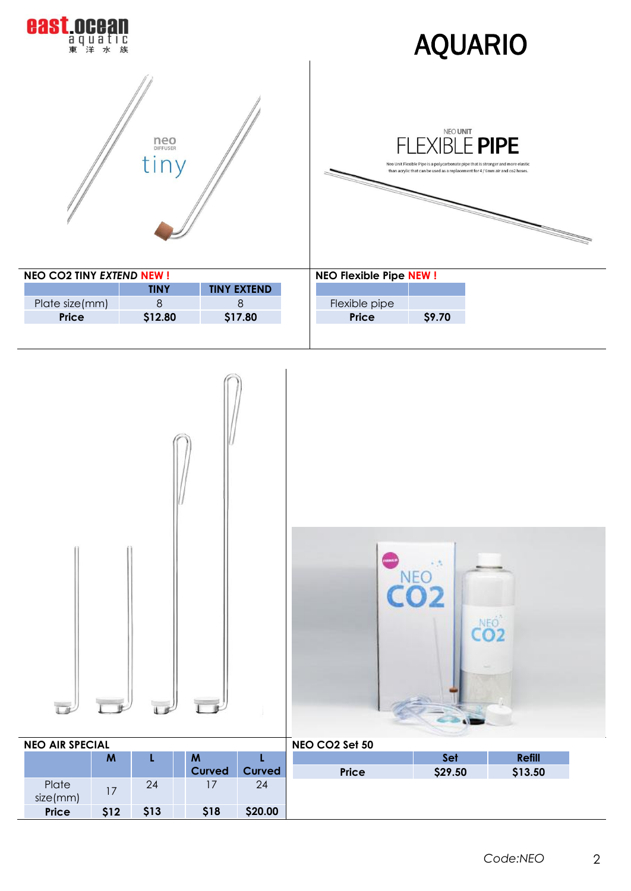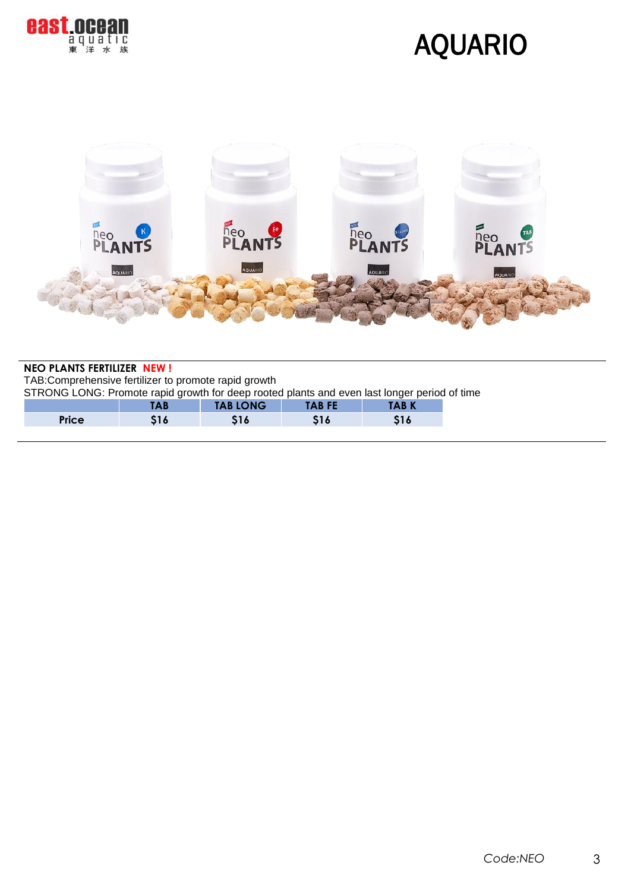

## AQUARIO



#### **NEO PLANTS FERTILIZER NEW !**

TAB:Comprehensive fertilizer to promote rapid growth

STRONG LONG: Promote rapid growth for deep rooted plants and even last longer period of time

|              | IAD | <b>TAB LONG</b> | <b>TAB FE</b>     | <b>ABK</b> |
|--------------|-----|-----------------|-------------------|------------|
| <b>Price</b> |     | - 19            | $\sim$ 1 $\prime$ | 1 V        |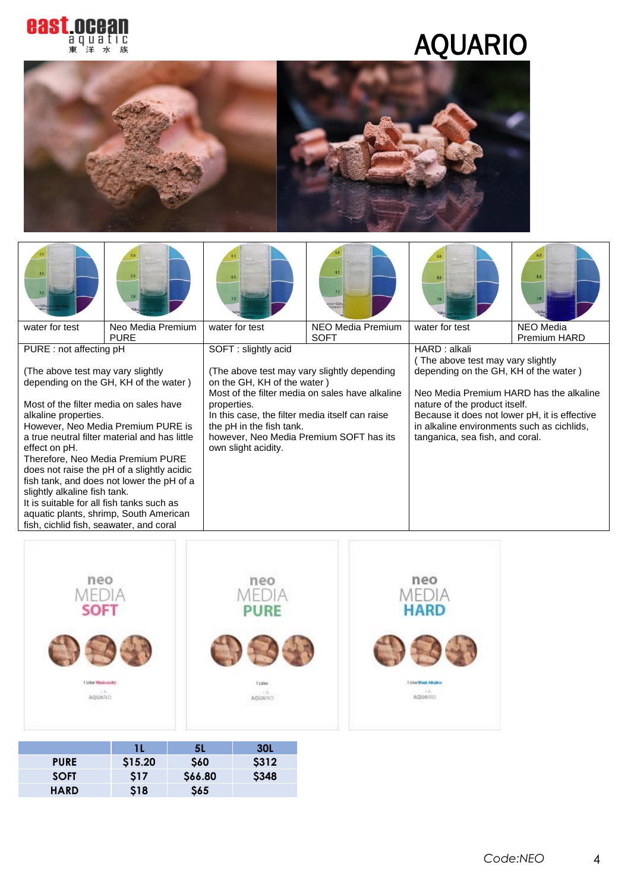

# AQUARIO



|                                                                                                                                                                                                                                                                                                                                                                                                                                                                                                             | 6.5               | 6.5                                                                                                                                                                                                                                        | 6.5<br>7.0<br>ater · Süßw                       | 6.5                                                                                                                                                                                                                                                 | 6.5                              |
|-------------------------------------------------------------------------------------------------------------------------------------------------------------------------------------------------------------------------------------------------------------------------------------------------------------------------------------------------------------------------------------------------------------------------------------------------------------------------------------------------------------|-------------------|--------------------------------------------------------------------------------------------------------------------------------------------------------------------------------------------------------------------------------------------|-------------------------------------------------|-----------------------------------------------------------------------------------------------------------------------------------------------------------------------------------------------------------------------------------------------------|----------------------------------|
| water for test                                                                                                                                                                                                                                                                                                                                                                                                                                                                                              | Neo Media Premium | water for test                                                                                                                                                                                                                             | NEO Media Premium<br><b>SOFT</b>                | water for test                                                                                                                                                                                                                                      | <b>NEO</b> Media<br>Premium HARD |
| <b>PURE</b><br>PURE : not affecting pH                                                                                                                                                                                                                                                                                                                                                                                                                                                                      |                   | SOFT: slightly acid                                                                                                                                                                                                                        |                                                 | HARD : alkali<br>The above test may vary slightly                                                                                                                                                                                                   |                                  |
| (The above test may vary slightly<br>depending on the GH, KH of the water)<br>Most of the filter media on sales have<br>alkaline properties.<br>However, Neo Media Premium PURE is<br>a true neutral filter material and has little<br>effect on pH.<br>Therefore, Neo Media Premium PURE<br>does not raise the pH of a slightly acidic<br>fish tank, and does not lower the pH of a<br>slightly alkaline fish tank.<br>It is suitable for all fish tanks such as<br>aquatic plants, shrimp, South American |                   | (The above test may vary slightly depending<br>on the GH, KH of the water)<br>properties.<br>In this case, the filter media itself can raise<br>the pH in the fish tank.<br>however, Neo Media Premium SOFT has its<br>own slight acidity. | Most of the filter media on sales have alkaline | depending on the GH, KH of the water)<br>Neo Media Premium HARD has the alkaline<br>nature of the product itself.<br>Because it does not lower pH, it is effective<br>in alkaline environments such as cichlids,<br>tanganica, sea fish, and coral. |                                  |

| 962902225<br>neo<br><b>MEDIA</b><br><b>SOFT</b> | <b>Park Scott Scott College</b><br>neo<br>MEDIA<br><b>PURE</b> | <b>COVECTION</b><br>neo<br>MEDIA<br><b>HARD</b> |
|-------------------------------------------------|----------------------------------------------------------------|-------------------------------------------------|
|                                                 |                                                                |                                                 |
| 1 Liber Meak soldky<br>AQUARD<br>- 10           | <b>TLitter</b><br>$-1.5$<br><b>AQUARIO</b><br>19768541         | 7 Diter Weak, Alkaline<br>AQUARIO               |

|             |         | <b>5L</b> | <b>30L</b>   |
|-------------|---------|-----------|--------------|
| <b>PURE</b> | \$15.20 | \$60      | \$312        |
| <b>SOFT</b> | \$17    | \$66.80   | <b>\$348</b> |
| <b>HARD</b> | \$18    | \$65      |              |